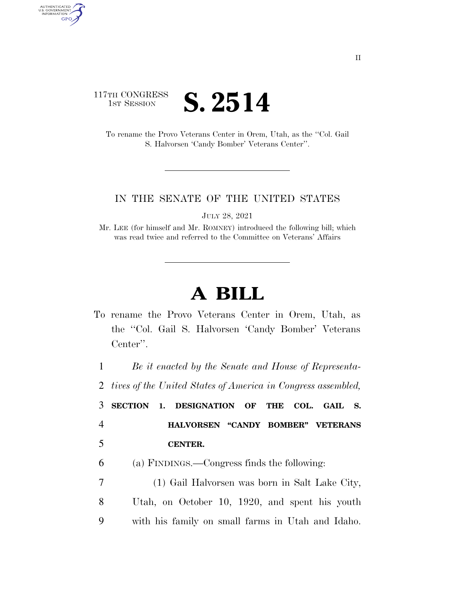## 117TH CONGRESS **IST SESSION S. 2514**

AUTHENTICATED<br>U.S. GOVERNMENT<br>INFORMATION GPO

> To rename the Provo Veterans Center in Orem, Utah, as the ''Col. Gail S. Halvorsen 'Candy Bomber' Veterans Center''.

## IN THE SENATE OF THE UNITED STATES

JULY 28, 2021

Mr. LEE (for himself and Mr. ROMNEY) introduced the following bill; which was read twice and referred to the Committee on Veterans' Affairs

## **A BILL**

To rename the Provo Veterans Center in Orem, Utah, as the ''Col. Gail S. Halvorsen 'Candy Bomber' Veterans Center''.

1 *Be it enacted by the Senate and House of Representa-*

2 *tives of the United States of America in Congress assembled,* 

3 **SECTION 1. DESIGNATION OF THE COL. GAIL S.**  4 **HALVORSEN ''CANDY BOMBER'' VETERANS**  5 **CENTER.** 

- 6 (a) FINDINGS.—Congress finds the following:
- 7 (1) Gail Halvorsen was born in Salt Lake City, 8 Utah, on October 10, 1920, and spent his youth 9 with his family on small farms in Utah and Idaho.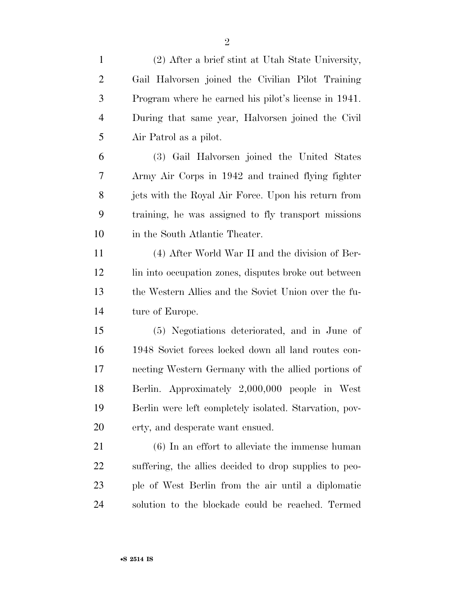| $\mathbf{1}$   | (2) After a brief stint at Utah State University,      |
|----------------|--------------------------------------------------------|
| $\overline{2}$ | Gail Halvorsen joined the Civilian Pilot Training      |
| 3              | Program where he earned his pilot's license in 1941.   |
| $\overline{4}$ | During that same year, Halvorsen joined the Civil      |
| 5              | Air Patrol as a pilot.                                 |
| 6              | (3) Gail Halvorsen joined the United States            |
| 7              | Army Air Corps in 1942 and trained flying fighter      |
| 8              | jets with the Royal Air Force. Upon his return from    |
| 9              | training, he was assigned to fly transport missions    |
| 10             | in the South Atlantic Theater.                         |
| 11             | (4) After World War II and the division of Ber-        |
| 12             | lin into occupation zones, disputes broke out between  |
| 13             | the Western Allies and the Soviet Union over the fu-   |
| 14             | ture of Europe.                                        |
| 15             | (5) Negotiations deteriorated, and in June of          |
| 16             | 1948 Soviet forces locked down all land routes con-    |
| 17             | necting Western Germany with the allied portions of    |
| 18             | Berlin. Approximately 2,000,000 people in West         |
| 19             | Berlin were left completely isolated. Starvation, pov- |
| 20             | erty, and desperate want ensued.                       |
| 21             | $(6)$ In an effort to alleviate the immense human      |
| 22             | suffering, the allies decided to drop supplies to peo- |
| 23             | ple of West Berlin from the air until a diplomatic     |
| 24             | solution to the blockade could be reached. Termed      |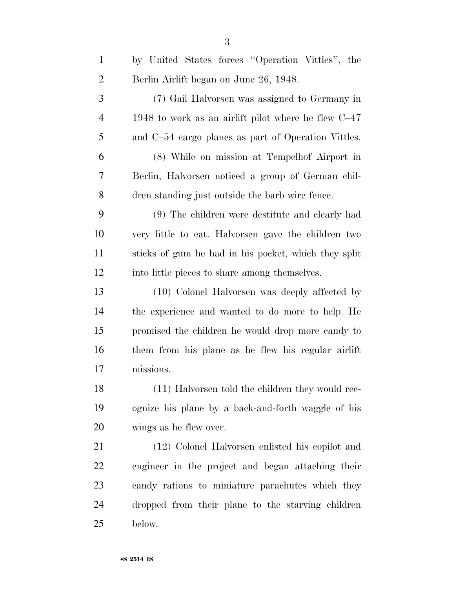| $\mathbf{1}$   | by United States forces "Operation Vittles", the      |
|----------------|-------------------------------------------------------|
| $\overline{2}$ | Berlin Airlift began on June 26, 1948.                |
| 3              | (7) Gail Halvorsen was assigned to Germany in         |
| $\overline{4}$ | 1948 to work as an airlift pilot where he flew $C-47$ |
| 5              | and C-54 cargo planes as part of Operation Vittles.   |
| 6              | (8) While on mission at Tempelhof Airport in          |
| 7              | Berlin, Halvorsen noticed a group of German chil-     |
| 8              | dren standing just outside the barb wire fence.       |
| 9              | (9) The children were destitute and clearly had       |
| 10             | very little to eat. Halvorsen gave the children two   |
| 11             | sticks of gum he had in his pocket, which they split  |
| 12             | into little pieces to share among themselves.         |
| 13             | (10) Colonel Halvorsen was deeply affected by         |
| 14             | the experience and wanted to do more to help. He      |
| 15             | promised the children he would drop more candy to     |
| 16             | them from his plane as he flew his regular airlift    |
| 17             | missions.                                             |
| 18             | (11) Halvorsen told the children they would rec-      |
| 19             | ognize his plane by a back-and-forth waggle of his    |
| 20             | wings as he flew over.                                |
| 21             | (12) Colonel Halvorsen enlisted his copilot and       |
| 22             | engineer in the project and began attaching their     |
| 23             | candy rations to miniature parachutes which they      |
| 24             | dropped from their plane to the starving children     |
| 25             | below.                                                |
|                |                                                       |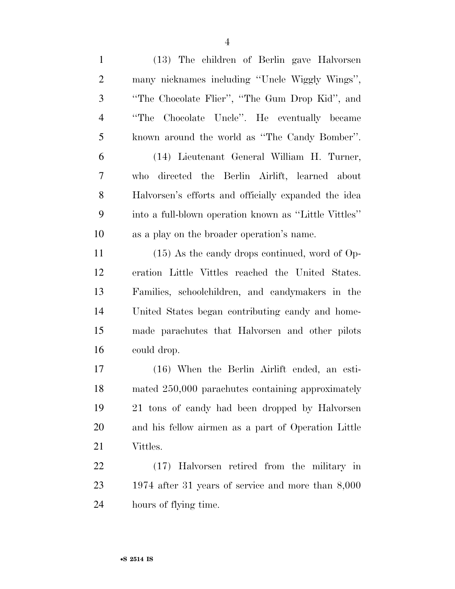| $\mathbf{1}$   | (13) The children of Berlin gave Halvorsen            |
|----------------|-------------------------------------------------------|
| $\overline{2}$ | many nicknames including "Uncle Wiggly Wings",        |
| 3              | "The Chocolate Flier", "The Gum Drop Kid", and        |
| $\overline{4}$ | Chocolate Uncle". He eventually became<br>"The        |
| 5              | known around the world as "The Candy Bomber".         |
| 6              | (14) Lieutenant General William H. Turner,            |
| 7              | directed the Berlin Airlift, learned about<br>who     |
| 8              | Halvorsen's efforts and officially expanded the idea  |
| 9              | into a full-blown operation known as "Little Vittles" |
| 10             | as a play on the broader operation's name.            |
| 11             | $(15)$ As the candy drops continued, word of Op-      |
| 12             | eration Little Vittles reached the United States.     |
| 13             | Families, schoolchildren, and candymakers in the      |
| 14             | United States began contributing candy and home-      |
| 15             | made parachutes that Halvorsen and other pilots       |
| 16             | could drop.                                           |
| 17             | (16) When the Berlin Airlift ended, an esti-          |
| 18             | mated 250,000 parachutes containing approximately     |
| 19             | 21 tons of candy had been dropped by Halvorsen        |
| 20             | and his fellow airmen as a part of Operation Little   |
| 21             | Vittles.                                              |
| 22             | (17) Halvorsen retired from the military in           |
| 23             | 1974 after 31 years of service and more than $8,000$  |
|                |                                                       |

hours of flying time.